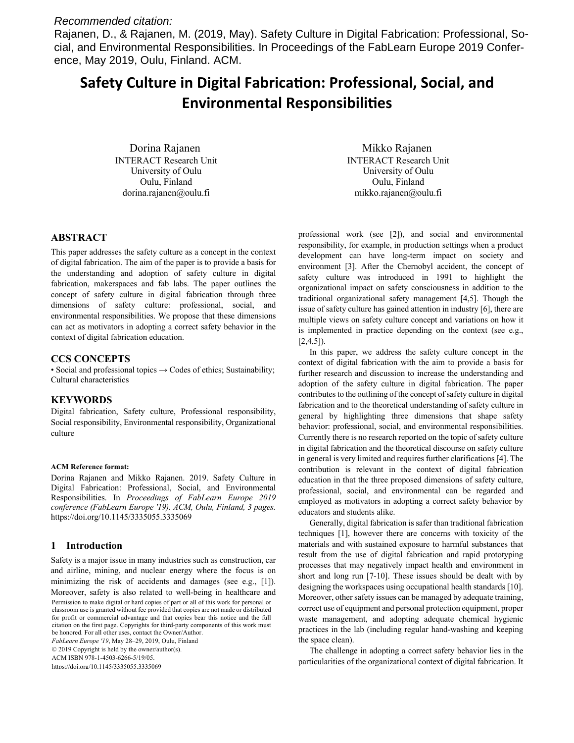# *Recommended citation:*

Rajanen, D., & Rajanen, M. (2019, May). Safety Culture in Digital Fabrication: Professional, Social, and Environmental Responsibilities. In Proceedings of the FabLearn Europe 2019 Conference, May 2019, Oulu, Finland. ACM.

# **Safety Culture in Digital Fabrication: Professional, Social, and Environmental Responsibilities**

Dorina Rajanen INTERACT Research Unit University of Oulu Oulu, Finland dorina.rajanen@oulu.fi

**ABSTRACT**

This paper addresses the safety culture as a concept in the context of digital fabrication. The aim of the paper is to provide a basis for the understanding and adoption of safety culture in digital fabrication, makerspaces and fab labs. The paper outlines the concept of safety culture in digital fabrication through three dimensions of safety culture: professional, social, and environmental responsibilities. We propose that these dimensions can act as motivators in adopting a correct safety behavior in the context of digital fabrication education.

#### **CCS CONCEPTS**

• Social and professional topics  $\rightarrow$  Codes of ethics; Sustainability; Cultural characteristics

#### **KEYWORDS**

Digital fabrication, Safety culture, Professional responsibility, Social responsibility, Environmental responsibility, Organizational culture

#### **ACM Reference format:**

Dorina Rajanen and Mikko Rajanen. 2019. Safety Culture in Digital Fabrication: Professional, Social, and Environmental Responsibilities. In *Proceedings of FabLearn Europe 2019 conference (FabLearn Europe '19). ACM, Oulu, Finland, 3 pages.* https://doi.org/10.1145/3335055.3335069

#### **1 Introduction**

Safety is a major issue in many industries such as construction, car and airline, mining, and nuclear energy where the focus is on minimizing the risk of accidents and damages (see e.g., [1]). Moreover, safety is also related to well-being in healthcare and Permission to make digital or hard copies of part or all of this work for personal or classroom use is granted without fee provided that copies are not made or distributed for profit or commercial advantage and that copies bear this notice and the full citation on the first page. Copyrights for third-party components of this work must be honored. For all other uses, contact the Owner/Author.

*FabLearn Europe '19*, May 28–29, 2019, Oulu, Finland © 2019 Copyright is held by the owner/author(s). ACM ISBN 978-1-4503-6266-5/19/05. https://doi.org/10.1145/3335055.3335069

Mikko Rajanen INTERACT Research Unit University of Oulu Oulu, Finland mikko.rajanen@oulu.fi

professional work (see [2]), and social and environmental responsibility, for example, in production settings when a product development can have long-term impact on society and environment [3]. After the Chernobyl accident, the concept of safety culture was introduced in 1991 to highlight the organizational impact on safety consciousness in addition to the traditional organizational safety management [4,5]. Though the issue of safety culture has gained attention in industry [6], there are multiple views on safety culture concept and variations on how it is implemented in practice depending on the context (see e.g.,  $[2,4,5]$ ).

In this paper, we address the safety culture concept in the context of digital fabrication with the aim to provide a basis for further research and discussion to increase the understanding and adoption of the safety culture in digital fabrication. The paper contributes to the outlining of the concept of safety culture in digital fabrication and to the theoretical understanding of safety culture in general by highlighting three dimensions that shape safety behavior: professional, social, and environmental responsibilities. Currently there is no research reported on the topic of safety culture in digital fabrication and the theoretical discourse on safety culture in general is very limited and requires further clarifications [4]. The contribution is relevant in the context of digital fabrication education in that the three proposed dimensions of safety culture, professional, social, and environmental can be regarded and employed as motivators in adopting a correct safety behavior by educators and students alike.

Generally, digital fabrication is safer than traditional fabrication techniques [1], however there are concerns with toxicity of the materials and with sustained exposure to harmful substances that result from the use of digital fabrication and rapid prototyping processes that may negatively impact health and environment in short and long run [7-10]. These issues should be dealt with by designing the workspaces using occupational health standards [10]. Moreover, other safety issues can be managed by adequate training, correct use of equipment and personal protection equipment, proper waste management, and adopting adequate chemical hygienic practices in the lab (including regular hand-washing and keeping the space clean).

The challenge in adopting a correct safety behavior lies in the particularities of the organizational context of digital fabrication. It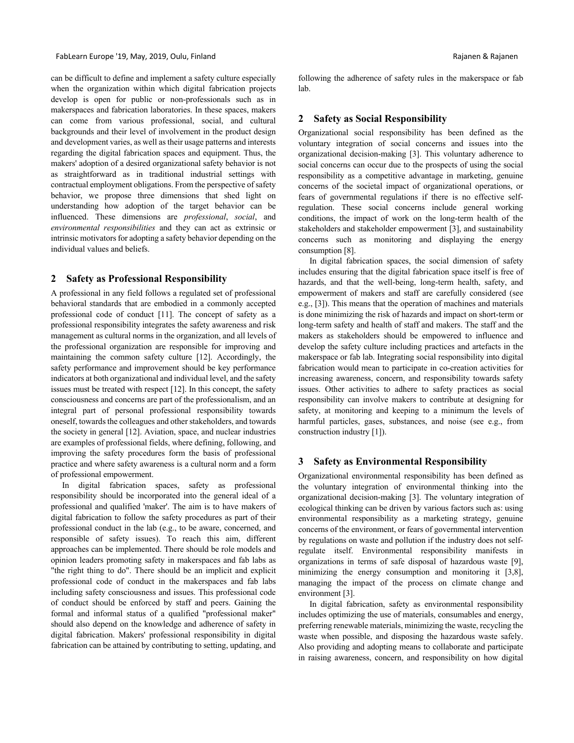can be difficult to define and implement a safety culture especially when the organization within which digital fabrication projects develop is open for public or non-professionals such as in makerspaces and fabrication laboratories. In these spaces, makers can come from various professional, social, and cultural backgrounds and their level of involvement in the product design and development varies, as well as their usage patterns and interests regarding the digital fabrication spaces and equipment. Thus, the makers' adoption of a desired organizational safety behavior is not as straightforward as in traditional industrial settings with contractual employment obligations. From the perspective of safety behavior, we propose three dimensions that shed light on understanding how adoption of the target behavior can be influenced. These dimensions are *professional*, *social*, and *environmental responsibilities* and they can act as extrinsic or intrinsic motivators for adopting a safety behavior depending on the individual values and beliefs.

### **2 Safety as Professional Responsibility**

A professional in any field follows a regulated set of professional behavioral standards that are embodied in a commonly accepted professional code of conduct [11]. The concept of safety as a professional responsibility integrates the safety awareness and risk management as cultural norms in the organization, and all levels of the professional organization are responsible for improving and maintaining the common safety culture [12]. Accordingly, the safety performance and improvement should be key performance indicators at both organizational and individual level, and the safety issues must be treated with respect [12]. In this concept, the safety consciousness and concerns are part of the professionalism, and an integral part of personal professional responsibility towards oneself, towards the colleagues and other stakeholders, and towards the society in general [12]. Aviation, space, and nuclear industries are examples of professional fields, where defining, following, and improving the safety procedures form the basis of professional practice and where safety awareness is a cultural norm and a form of professional empowerment.

In digital fabrication spaces, safety as professional responsibility should be incorporated into the general ideal of a professional and qualified 'maker'. The aim is to have makers of digital fabrication to follow the safety procedures as part of their professional conduct in the lab (e.g., to be aware, concerned, and responsible of safety issues). To reach this aim, different approaches can be implemented. There should be role models and opinion leaders promoting safety in makerspaces and fab labs as "the right thing to do". There should be an implicit and explicit professional code of conduct in the makerspaces and fab labs including safety consciousness and issues. This professional code of conduct should be enforced by staff and peers. Gaining the formal and informal status of a qualified "professional maker" should also depend on the knowledge and adherence of safety in digital fabrication. Makers' professional responsibility in digital fabrication can be attained by contributing to setting, updating, and

following the adherence of safety rules in the makerspace or fab lab.

# **2 Safety as Social Responsibility**

Organizational social responsibility has been defined as the voluntary integration of social concerns and issues into the organizational decision-making [3]. This voluntary adherence to social concerns can occur due to the prospects of using the social responsibility as a competitive advantage in marketing, genuine concerns of the societal impact of organizational operations, or fears of governmental regulations if there is no effective selfregulation. These social concerns include general working conditions, the impact of work on the long-term health of the stakeholders and stakeholder empowerment [3], and sustainability concerns such as monitoring and displaying the energy consumption [8].

In digital fabrication spaces, the social dimension of safety includes ensuring that the digital fabrication space itself is free of hazards, and that the well-being, long-term health, safety, and empowerment of makers and staff are carefully considered (see e.g., [3]). This means that the operation of machines and materials is done minimizing the risk of hazards and impact on short-term or long-term safety and health of staff and makers. The staff and the makers as stakeholders should be empowered to influence and develop the safety culture including practices and artefacts in the makerspace or fab lab. Integrating social responsibility into digital fabrication would mean to participate in co-creation activities for increasing awareness, concern, and responsibility towards safety issues. Other activities to adhere to safety practices as social responsibility can involve makers to contribute at designing for safety, at monitoring and keeping to a minimum the levels of harmful particles, gases, substances, and noise (see e.g., from construction industry [1]).

# **3 Safety as Environmental Responsibility**

Organizational environmental responsibility has been defined as the voluntary integration of environmental thinking into the organizational decision-making [3]. The voluntary integration of ecological thinking can be driven by various factors such as: using environmental responsibility as a marketing strategy, genuine concerns of the environment, or fears of governmental intervention by regulations on waste and pollution if the industry does not selfregulate itself. Environmental responsibility manifests in organizations in terms of safe disposal of hazardous waste [9], minimizing the energy consumption and monitoring it [3,8], managing the impact of the process on climate change and environment [3].

In digital fabrication, safety as environmental responsibility includes optimizing the use of materials, consumables and energy, preferring renewable materials, minimizing the waste, recycling the waste when possible, and disposing the hazardous waste safely. Also providing and adopting means to collaborate and participate in raising awareness, concern, and responsibility on how digital